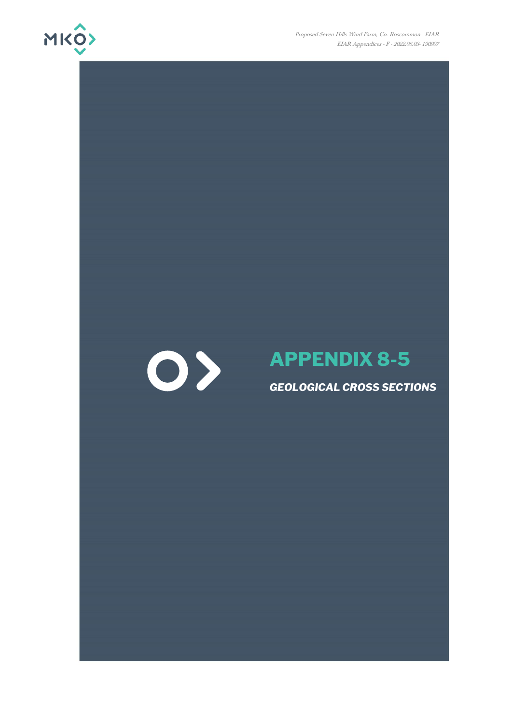

Proposed Seven Hills Wind Farm, Co. Roscommon - EIAR EIAR Appendices - F - 2022.06.03- 190907



## **APPENDIX 8-5**

*GEOLOGICAL CROSS SECTIONS*